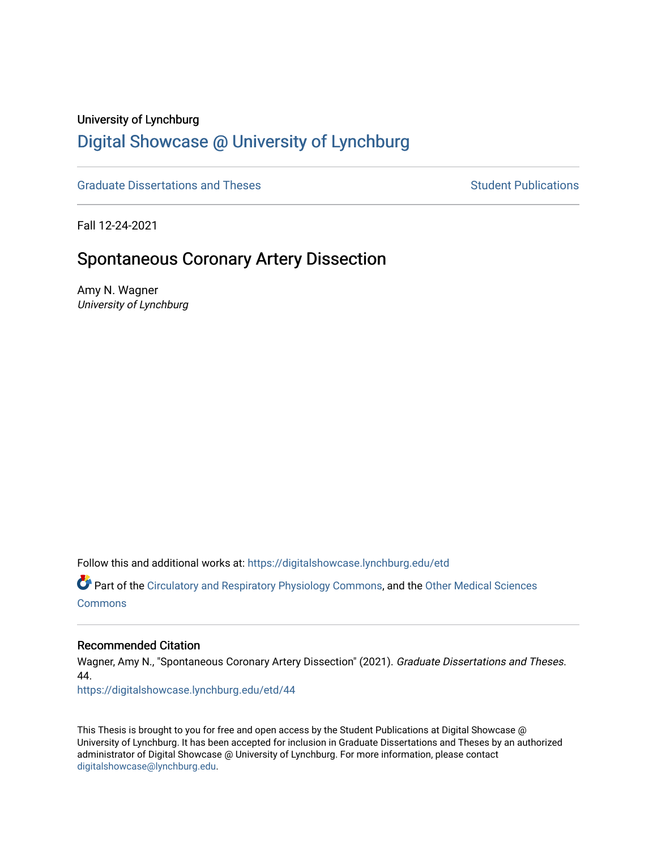# University of Lynchburg [Digital Showcase @ University of Lynchburg](https://digitalshowcase.lynchburg.edu/)

[Graduate Dissertations and Theses](https://digitalshowcase.lynchburg.edu/etd) [Student Publications](https://digitalshowcase.lynchburg.edu/student_publications) Student Publications

Fall 12-24-2021

## Spontaneous Coronary Artery Dissection

Amy N. Wagner University of Lynchburg

Follow this and additional works at: [https://digitalshowcase.lynchburg.edu/etd](https://digitalshowcase.lynchburg.edu/etd?utm_source=digitalshowcase.lynchburg.edu%2Fetd%2F44&utm_medium=PDF&utm_campaign=PDFCoverPages) 

Part of the [Circulatory and Respiratory Physiology Commons](https://network.bepress.com/hgg/discipline/947?utm_source=digitalshowcase.lynchburg.edu%2Fetd%2F44&utm_medium=PDF&utm_campaign=PDFCoverPages), and the [Other Medical Sciences](https://network.bepress.com/hgg/discipline/679?utm_source=digitalshowcase.lynchburg.edu%2Fetd%2F44&utm_medium=PDF&utm_campaign=PDFCoverPages)  **[Commons](https://network.bepress.com/hgg/discipline/679?utm_source=digitalshowcase.lynchburg.edu%2Fetd%2F44&utm_medium=PDF&utm_campaign=PDFCoverPages)** 

### Recommended Citation

Wagner, Amy N., "Spontaneous Coronary Artery Dissection" (2021). Graduate Dissertations and Theses. 44.

[https://digitalshowcase.lynchburg.edu/etd/44](https://digitalshowcase.lynchburg.edu/etd/44?utm_source=digitalshowcase.lynchburg.edu%2Fetd%2F44&utm_medium=PDF&utm_campaign=PDFCoverPages)

This Thesis is brought to you for free and open access by the Student Publications at Digital Showcase @ University of Lynchburg. It has been accepted for inclusion in Graduate Dissertations and Theses by an authorized administrator of Digital Showcase @ University of Lynchburg. For more information, please contact [digitalshowcase@lynchburg.edu](mailto:digitalshowcase@lynchburg.edu).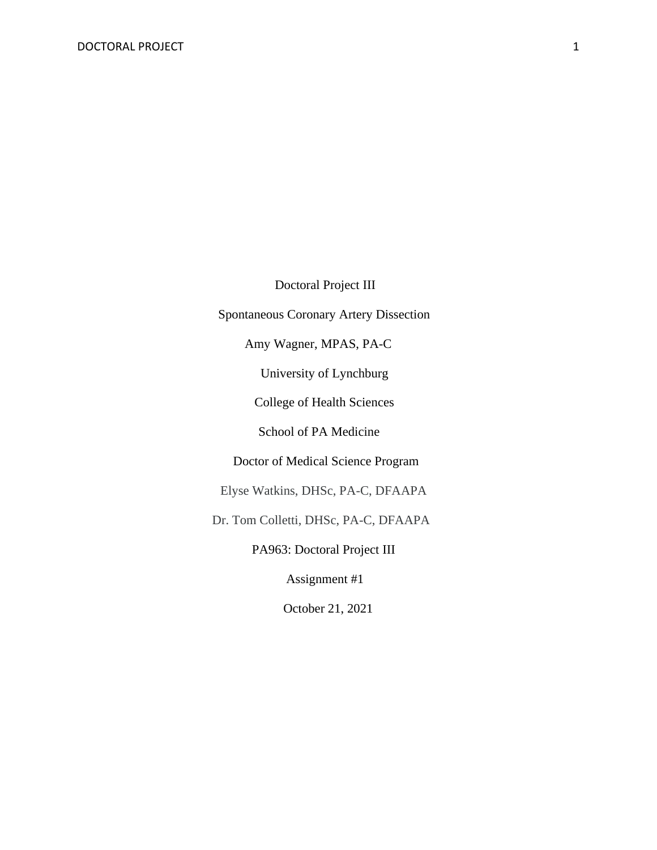Doctoral Project III

Spontaneous Coronary Artery Dissection

Amy Wagner, MPAS, PA-C

University of Lynchburg

College of Health Sciences

School of PA Medicine

Doctor of Medical Science Program

Elyse Watkins, DHSc, PA-C, DFAAPA

Dr. Tom Colletti, DHSc, PA-C, DFAAPA

PA963: Doctoral Project III

Assignment #1

October 21, 2021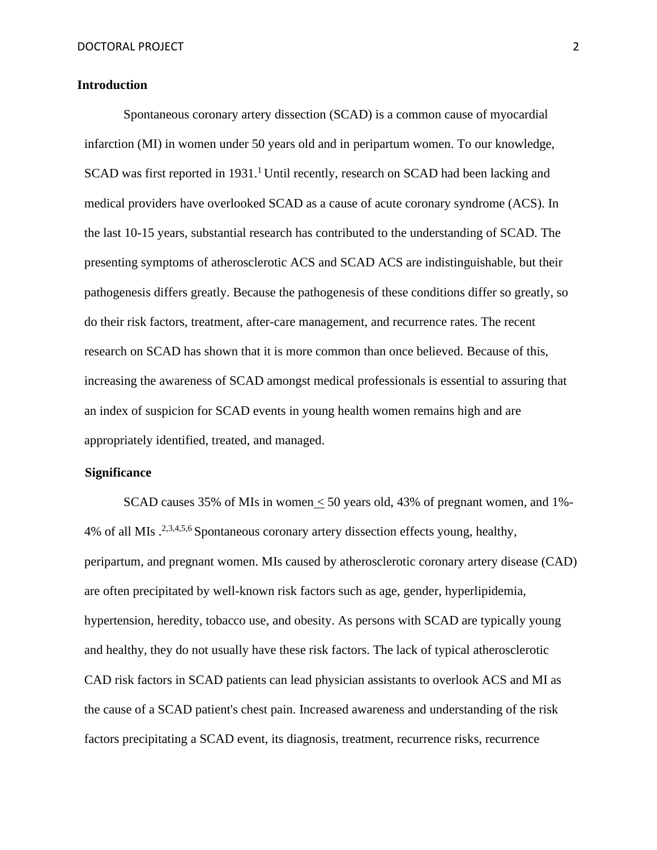### **Introduction**

Spontaneous coronary artery dissection (SCAD) is a common cause of myocardial infarction (MI) in women under 50 years old and in peripartum women. To our knowledge, SCAD was first reported in 1931.<sup>1</sup> Until recently, research on SCAD had been lacking and medical providers have overlooked SCAD as a cause of acute coronary syndrome (ACS). In the last 10-15 years, substantial research has contributed to the understanding of SCAD. The presenting symptoms of atherosclerotic ACS and SCAD ACS are indistinguishable, but their pathogenesis differs greatly. Because the pathogenesis of these conditions differ so greatly, so do their risk factors, treatment, after-care management, and recurrence rates. The recent research on SCAD has shown that it is more common than once believed. Because of this, increasing the awareness of SCAD amongst medical professionals is essential to assuring that an index of suspicion for SCAD events in young health women remains high and are appropriately identified, treated, and managed.

#### **Significance**

SCAD causes 35% of MIs in women < 50 years old, 43% of pregnant women, and 1%- 4% of all MIs .2,3,4,5,6 Spontaneous coronary artery dissection effects young, healthy, peripartum, and pregnant women. MIs caused by atherosclerotic coronary artery disease (CAD) are often precipitated by well-known risk factors such as age, gender, hyperlipidemia, hypertension, heredity, tobacco use, and obesity. As persons with SCAD are typically young and healthy, they do not usually have these risk factors. The lack of typical atherosclerotic CAD risk factors in SCAD patients can lead physician assistants to overlook ACS and MI as the cause of a SCAD patient's chest pain. Increased awareness and understanding of the risk factors precipitating a SCAD event, its diagnosis, treatment, recurrence risks, recurrence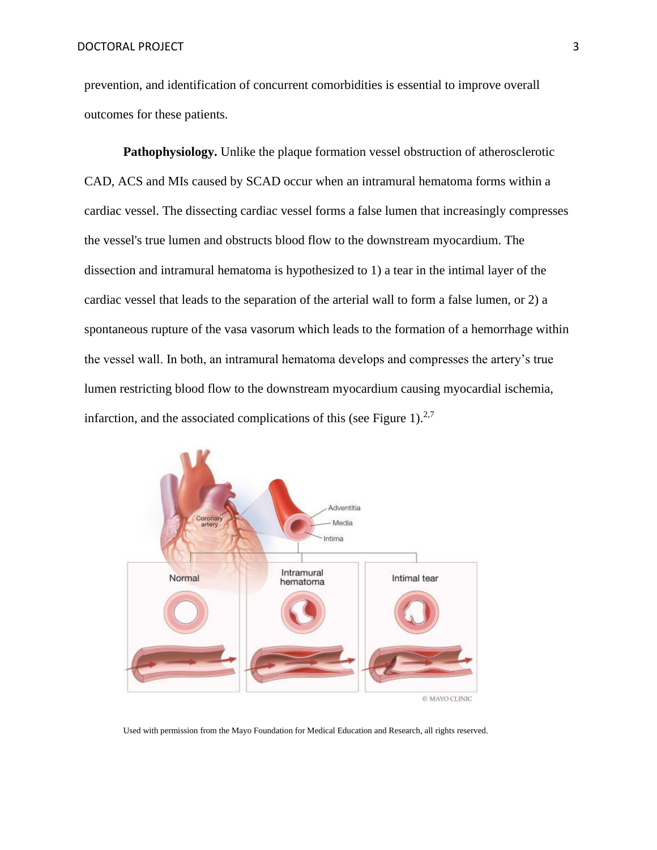prevention, and identification of concurrent comorbidities is essential to improve overall outcomes for these patients.

**Pathophysiology.** Unlike the plaque formation vessel obstruction of atherosclerotic CAD, ACS and MIs caused by SCAD occur when an intramural hematoma forms within a cardiac vessel. The dissecting cardiac vessel forms a false lumen that increasingly compresses the vessel's true lumen and obstructs blood flow to the downstream myocardium. The dissection and intramural hematoma is hypothesized to 1) a tear in the intimal layer of the cardiac vessel that leads to the separation of the arterial wall to form a false lumen, or 2) a spontaneous rupture of the vasa vasorum which leads to the formation of a hemorrhage within the vessel wall. In both, an intramural hematoma develops and compresses the artery's true lumen restricting blood flow to the downstream myocardium causing myocardial ischemia, infarction, and the associated complications of this (see Figure 1).<sup>2,7</sup>



Used with permission from the Mayo Foundation for Medical Education and Research, all rights reserved.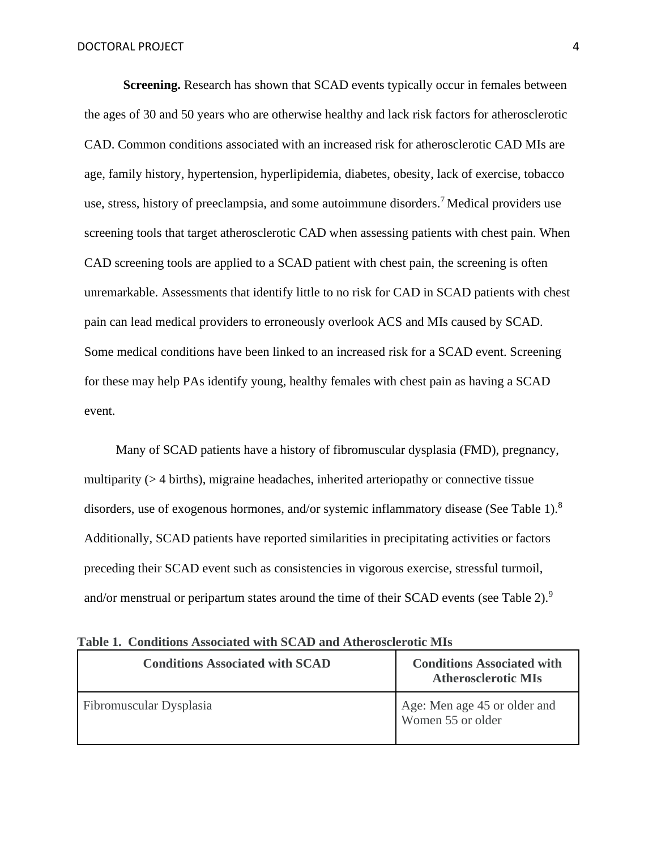**Screening.** Research has shown that SCAD events typically occur in females between the ages of 30 and 50 years who are otherwise healthy and lack risk factors for atherosclerotic CAD. Common conditions associated with an increased risk for atherosclerotic CAD MIs are age, family history, hypertension, hyperlipidemia, diabetes, obesity, lack of exercise, tobacco use, stress, history of preeclampsia, and some autoimmune disorders.<sup>7</sup> Medical providers use screening tools that target atherosclerotic CAD when assessing patients with chest pain. When CAD screening tools are applied to a SCAD patient with chest pain, the screening is often unremarkable. Assessments that identify little to no risk for CAD in SCAD patients with chest pain can lead medical providers to erroneously overlook ACS and MIs caused by SCAD. Some medical conditions have been linked to an increased risk for a SCAD event. Screening for these may help PAs identify young, healthy females with chest pain as having a SCAD event.

Many of SCAD patients have a history of fibromuscular dysplasia (FMD), pregnancy, multiparity  $(> 4 \text{ births})$ , migraine headaches, inherited arteriopathy or connective tissue disorders, use of exogenous hormones, and/or systemic inflammatory disease (See Table 1).<sup>8</sup> Additionally, SCAD patients have reported similarities in precipitating activities or factors preceding their SCAD event such as consistencies in vigorous exercise, stressful turmoil, and/or menstrual or peripartum states around the time of their SCAD events (see Table 2). $9$ 

| <b>Conditions Associated with SCAD</b> | <b>Conditions Associated with</b><br><b>Atherosclerotic MIs</b> |
|----------------------------------------|-----------------------------------------------------------------|
| Fibromuscular Dysplasia                | Age: Men age 45 or older and<br>Women 55 or older               |

**Table 1. Conditions Associated with SCAD and Atherosclerotic MIs**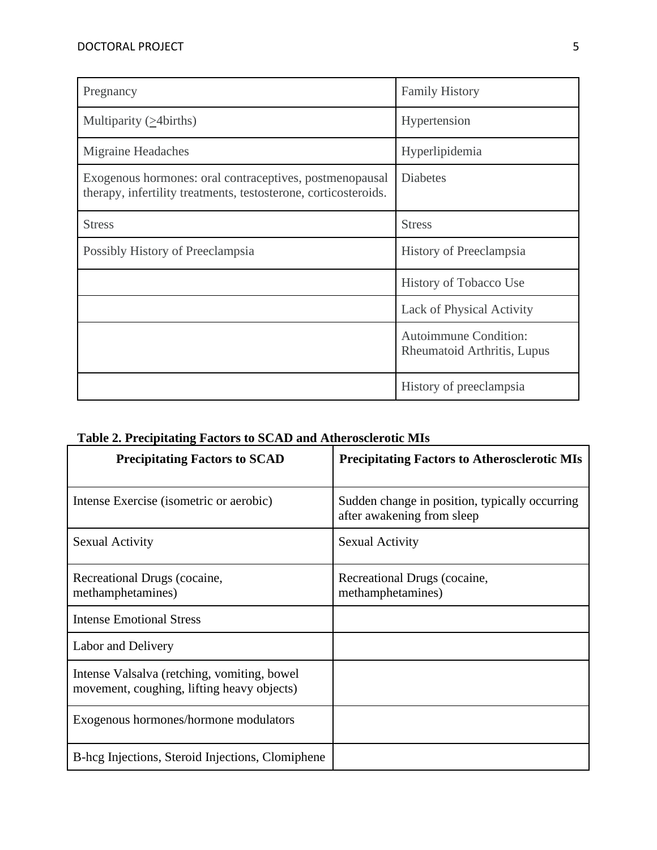| Pregnancy                                                                                                                  | <b>Family History</b>                                       |
|----------------------------------------------------------------------------------------------------------------------------|-------------------------------------------------------------|
| Multiparity $( \geq 4 \text{births})$                                                                                      | Hypertension                                                |
| Migraine Headaches                                                                                                         | Hyperlipidemia                                              |
| Exogenous hormones: oral contraceptives, postmenopausal<br>therapy, infertility treatments, testosterone, corticosteroids. | <b>Diabetes</b>                                             |
| <b>Stress</b>                                                                                                              | <b>Stress</b>                                               |
| Possibly History of Preeclampsia                                                                                           | History of Preeclampsia                                     |
|                                                                                                                            | History of Tobacco Use                                      |
|                                                                                                                            | <b>Lack of Physical Activity</b>                            |
|                                                                                                                            | <b>Autoimmune Condition:</b><br>Rheumatoid Arthritis, Lupus |
|                                                                                                                            | History of preeclampsia                                     |

## **Table 2. Precipitating Factors to SCAD and Atherosclerotic MIs**

| <b>Precipitating Factors to SCAD</b>                                                      | <b>Precipitating Factors to Atherosclerotic MIs</b>                          |
|-------------------------------------------------------------------------------------------|------------------------------------------------------------------------------|
| Intense Exercise (isometric or aerobic)                                                   | Sudden change in position, typically occurring<br>after awakening from sleep |
| <b>Sexual Activity</b>                                                                    | <b>Sexual Activity</b>                                                       |
| Recreational Drugs (cocaine,<br>methamphetamines)                                         | Recreational Drugs (cocaine,<br>methamphetamines)                            |
| <b>Intense Emotional Stress</b>                                                           |                                                                              |
| Labor and Delivery                                                                        |                                                                              |
| Intense Valsalva (retching, vomiting, bowel<br>movement, coughing, lifting heavy objects) |                                                                              |
| Exogenous hormones/hormone modulators                                                     |                                                                              |
| B-hcg Injections, Steroid Injections, Clomiphene                                          |                                                                              |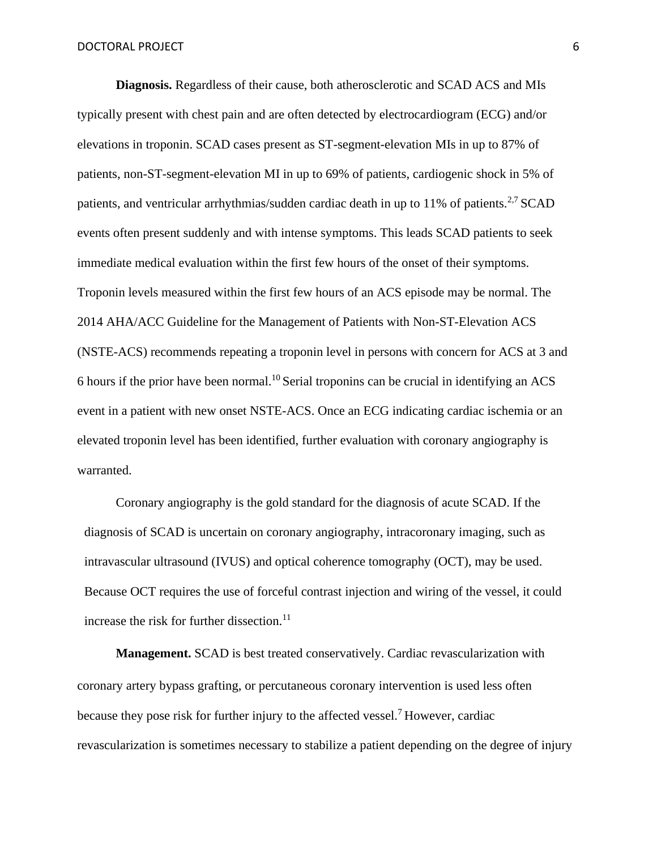**Diagnosis.** Regardless of their cause, both atherosclerotic and SCAD ACS and MIs typically present with chest pain and are often detected by electrocardiogram (ECG) and/or elevations in troponin. SCAD cases present as ST-segment-elevation MIs in up to 87% of patients, non-ST-segment-elevation MI in up to 69% of patients, cardiogenic shock in 5% of patients, and ventricular arrhythmias/sudden cardiac death in up to  $11\%$  of patients.<sup>2,7</sup> SCAD events often present suddenly and with intense symptoms. This leads SCAD patients to seek immediate medical evaluation within the first few hours of the onset of their symptoms. Troponin levels measured within the first few hours of an ACS episode may be normal. The 2014 AHA/ACC Guideline for the Management of Patients with Non-ST-Elevation ACS (NSTE-ACS) recommends repeating a troponin level in persons with concern for ACS at 3 and 6 hours if the prior have been normal.<sup>10</sup> Serial troponins can be crucial in identifying an ACS event in a patient with new onset NSTE-ACS. Once an ECG indicating cardiac ischemia or an elevated troponin level has been identified, further evaluation with coronary angiography is warranted.

Coronary angiography is the gold standard for the diagnosis of acute SCAD. If the diagnosis of SCAD is uncertain on coronary angiography, intracoronary imaging, such as intravascular ultrasound (IVUS) and optical coherence tomography (OCT), may be used. Because OCT requires the use of forceful contrast injection and wiring of the vessel, it could increase the risk for further dissection. $11$ 

**Management.** SCAD is best treated conservatively. Cardiac revascularization with coronary artery bypass grafting, or percutaneous coronary intervention is used less often because they pose risk for further injury to the affected vessel.<sup>7</sup> However, cardiac revascularization is sometimes necessary to stabilize a patient depending on the degree of injury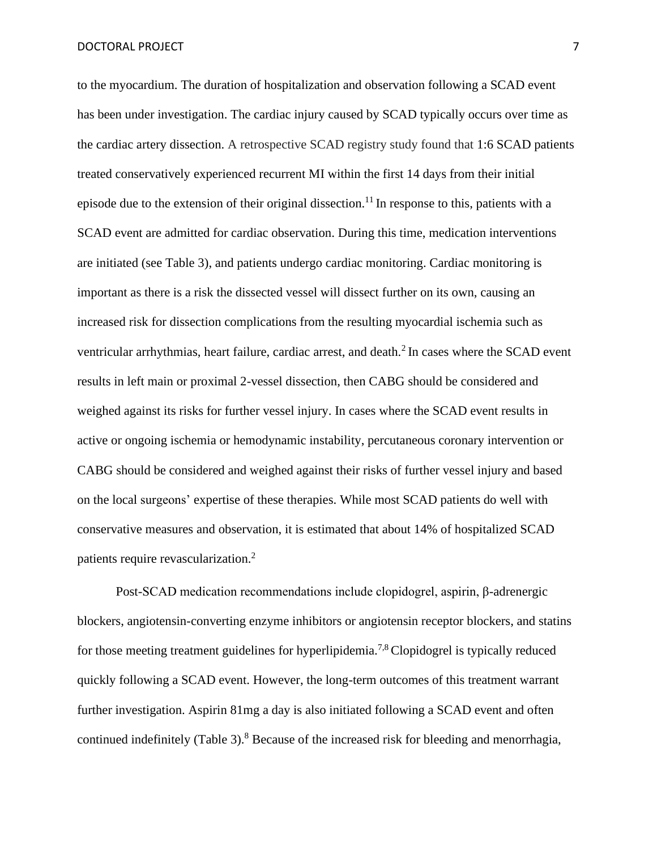to the myocardium. The duration of hospitalization and observation following a SCAD event has been under investigation. The cardiac injury caused by SCAD typically occurs over time as the cardiac artery dissection. A retrospective SCAD registry study found that 1:6 SCAD patients treated conservatively experienced recurrent MI within the first 14 days from their initial episode due to the extension of their original dissection.<sup>11</sup> In response to this, patients with a SCAD event are admitted for cardiac observation. During this time, medication interventions are initiated (see Table 3), and patients undergo cardiac monitoring. Cardiac monitoring is important as there is a risk the dissected vessel will dissect further on its own, causing an increased risk for dissection complications from the resulting myocardial ischemia such as ventricular arrhythmias, heart failure, cardiac arrest, and death.<sup>2</sup> In cases where the SCAD event results in left main or proximal 2-vessel dissection, then CABG should be considered and weighed against its risks for further vessel injury. In cases where the SCAD event results in active or ongoing ischemia or hemodynamic instability, percutaneous coronary intervention or CABG should be considered and weighed against their risks of further vessel injury and based on the local surgeons' expertise of these therapies. While most SCAD patients do well with conservative measures and observation, it is estimated that about 14% of hospitalized SCAD patients require revascularization.<sup>2</sup>

Post-SCAD medication recommendations include clopidogrel, aspirin, β-adrenergic blockers, angiotensin-converting enzyme inhibitors or angiotensin receptor blockers, and statins for those meeting treatment guidelines for hyperlipidemia.7,8 Clopidogrel is typically reduced quickly following a SCAD event. However, the long-term outcomes of this treatment warrant further investigation. Aspirin 81mg a day is also initiated following a SCAD event and often continued indefinitely (Table 3).<sup>8</sup> Because of the increased risk for bleeding and menorrhagia,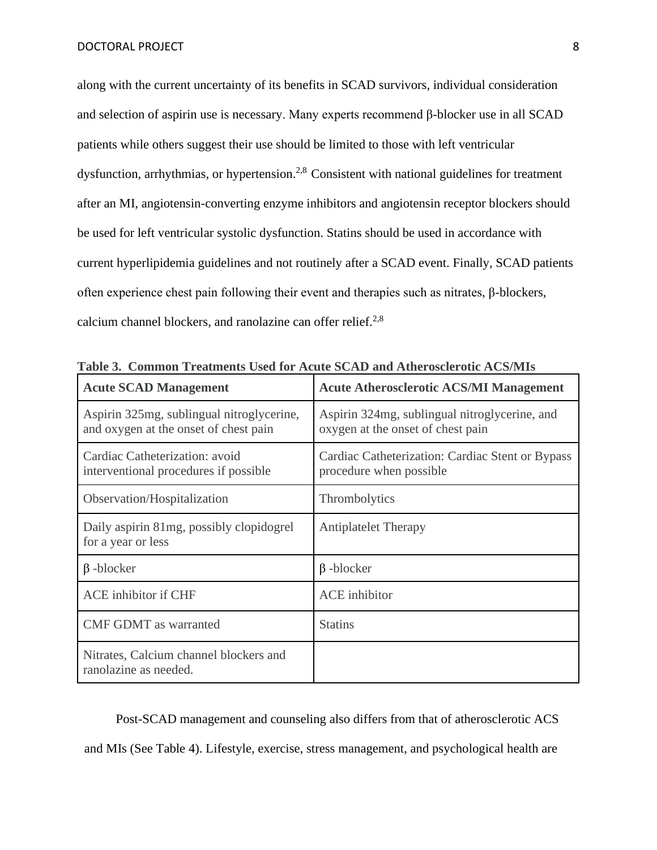along with the current uncertainty of its benefits in SCAD survivors, individual consideration and selection of aspirin use is necessary. Many experts recommend β-blocker use in all SCAD patients while others suggest their use should be limited to those with left ventricular dysfunction, arrhythmias, or hypertension.2,8 Consistent with national guidelines for treatment after an MI, angiotensin-converting enzyme inhibitors and angiotensin receptor blockers should be used for left ventricular systolic dysfunction. Statins should be used in accordance with current hyperlipidemia guidelines and not routinely after a SCAD event. Finally, SCAD patients often experience chest pain following their event and therapies such as nitrates, β-blockers, calcium channel blockers, and ranolazine can offer relief. $2.8$ 

| <b>Acute SCAD Management</b>                                                       | <b>Acute Atherosclerotic ACS/MI Management</b>                                     |
|------------------------------------------------------------------------------------|------------------------------------------------------------------------------------|
| Aspirin 325mg, sublingual nitroglycerine,<br>and oxygen at the onset of chest pain | Aspirin 324mg, sublingual nitroglycerine, and<br>oxygen at the onset of chest pain |
| Cardiac Catheterization: avoid<br>interventional procedures if possible            | Cardiac Catheterization: Cardiac Stent or Bypass<br>procedure when possible        |
| Observation/Hospitalization                                                        | Thrombolytics                                                                      |
| Daily aspirin 81mg, possibly clopidogrel<br>for a year or less                     | <b>Antiplatelet Therapy</b>                                                        |
| $\beta$ -blocker                                                                   | $\beta$ -blocker                                                                   |
| <b>ACE</b> inhibitor if CHF                                                        | <b>ACE</b> inhibitor                                                               |
| <b>CMF GDMT</b> as warranted                                                       | <b>Statins</b>                                                                     |
| Nitrates, Calcium channel blockers and<br>ranolazine as needed.                    |                                                                                    |

**Table 3. Common Treatments Used for Acute SCAD and Atherosclerotic ACS/MIs**

Post-SCAD management and counseling also differs from that of atherosclerotic ACS and MIs (See Table 4). Lifestyle, exercise, stress management, and psychological health are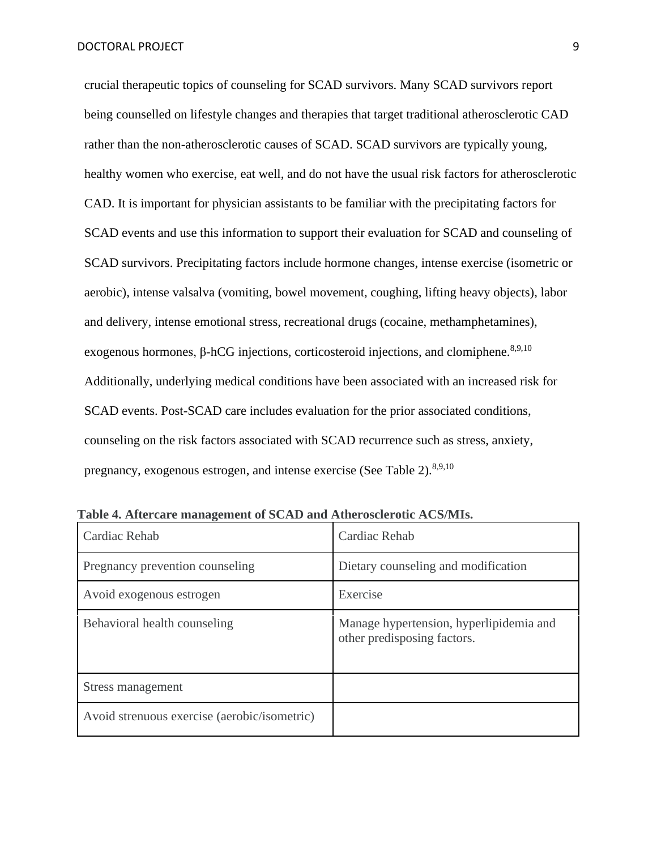crucial therapeutic topics of counseling for SCAD survivors. Many SCAD survivors report being counselled on lifestyle changes and therapies that target traditional atherosclerotic CAD rather than the non-atherosclerotic causes of SCAD. SCAD survivors are typically young, healthy women who exercise, eat well, and do not have the usual risk factors for atherosclerotic CAD. It is important for physician assistants to be familiar with the precipitating factors for SCAD events and use this information to support their evaluation for SCAD and counseling of SCAD survivors. Precipitating factors include hormone changes, intense exercise (isometric or aerobic), intense valsalva (vomiting, bowel movement, coughing, lifting heavy objects), labor and delivery, intense emotional stress, recreational drugs (cocaine, methamphetamines), exogenous hormones, β-hCG injections, corticosteroid injections, and clomiphene.<sup>8,9,10</sup> Additionally, underlying medical conditions have been associated with an increased risk for SCAD events. Post-SCAD care includes evaluation for the prior associated conditions, counseling on the risk factors associated with SCAD recurrence such as stress, anxiety, pregnancy, exogenous estrogen, and intense exercise (See Table 2). $8,9,10$ 

| Cardiac Rehab                                | Cardiac Rehab                                                          |
|----------------------------------------------|------------------------------------------------------------------------|
| Pregnancy prevention counseling              | Dietary counseling and modification                                    |
| Avoid exogenous estrogen                     | Exercise                                                               |
| Behavioral health counseling                 | Manage hypertension, hyperlipidemia and<br>other predisposing factors. |
| Stress management                            |                                                                        |
| Avoid strenuous exercise (aerobic/isometric) |                                                                        |

**Table 4. Aftercare management of SCAD and Atherosclerotic ACS/MIs.**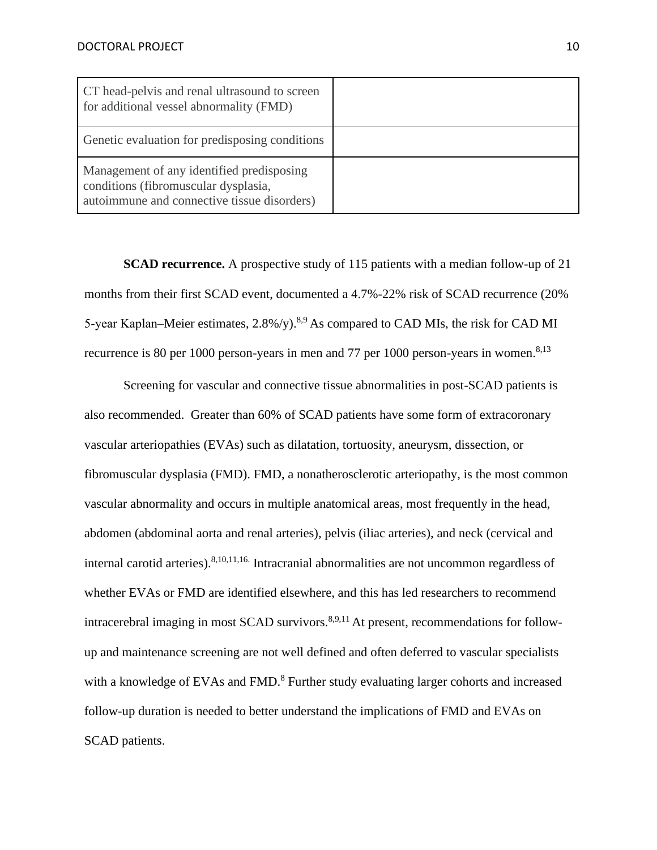| CT head-pelvis and renal ultrasound to screen<br>for additional vessel abnormality (FMD)                                         |  |
|----------------------------------------------------------------------------------------------------------------------------------|--|
| Genetic evaluation for predisposing conditions                                                                                   |  |
| Management of any identified predisposing<br>conditions (fibromuscular dysplasia,<br>autoimmune and connective tissue disorders) |  |

**SCAD recurrence.** A prospective study of 115 patients with a median follow-up of 21 months from their first SCAD event, documented a 4.7%-22% risk of SCAD recurrence (20% 5-year Kaplan–Meier estimates, 2.8%/y).<sup>8,9</sup> As compared to CAD MIs, the risk for CAD MI recurrence is 80 per 1000 person-years in men and 77 per 1000 person-years in women. $8,13$ 

Screening for vascular and connective tissue abnormalities in post-SCAD patients is also recommended. Greater than 60% of SCAD patients have some form of extracoronary vascular arteriopathies (EVAs) such as dilatation, tortuosity, aneurysm, dissection, or fibromuscular dysplasia (FMD). FMD, a nonatherosclerotic arteriopathy, is the most common vascular abnormality and occurs in multiple anatomical areas, most frequently in the head, abdomen (abdominal aorta and renal arteries), pelvis (iliac arteries), and neck (cervical and internal carotid arteries).<sup>8,10,11,16.</sup> Intracranial abnormalities are not uncommon regardless of whether EVAs or FMD are identified elsewhere, and this has led researchers to recommend intracerebral imaging in most SCAD survivors.<sup>8,9,11</sup> At present, recommendations for followup and maintenance screening are not well defined and often deferred to vascular specialists with a knowledge of EVAs and FMD.<sup>8</sup> Further study evaluating larger cohorts and increased follow-up duration is needed to better understand the implications of FMD and EVAs on SCAD patients.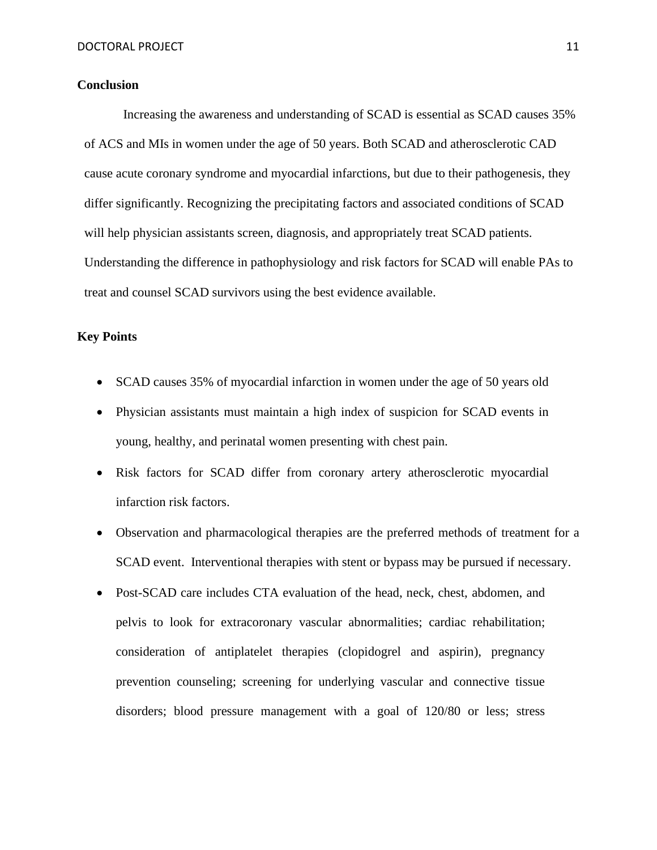### **Conclusion**

Increasing the awareness and understanding of SCAD is essential as SCAD causes 35% of ACS and MIs in women under the age of 50 years. Both SCAD and atherosclerotic CAD cause acute coronary syndrome and myocardial infarctions, but due to their pathogenesis, they differ significantly. Recognizing the precipitating factors and associated conditions of SCAD will help physician assistants screen, diagnosis, and appropriately treat SCAD patients. Understanding the difference in pathophysiology and risk factors for SCAD will enable PAs to treat and counsel SCAD survivors using the best evidence available.

### **Key Points**

- SCAD causes 35% of myocardial infarction in women under the age of 50 years old
- Physician assistants must maintain a high index of suspicion for SCAD events in young, healthy, and perinatal women presenting with chest pain.
- Risk factors for SCAD differ from coronary artery atherosclerotic myocardial infarction risk factors.
- Observation and pharmacological therapies are the preferred methods of treatment for a SCAD event. Interventional therapies with stent or bypass may be pursued if necessary.
- Post-SCAD care includes CTA evaluation of the head, neck, chest, abdomen, and pelvis to look for extracoronary vascular abnormalities; cardiac rehabilitation; consideration of antiplatelet therapies (clopidogrel and aspirin), pregnancy prevention counseling; screening for underlying vascular and connective tissue disorders; blood pressure management with a goal of 120/80 or less; stress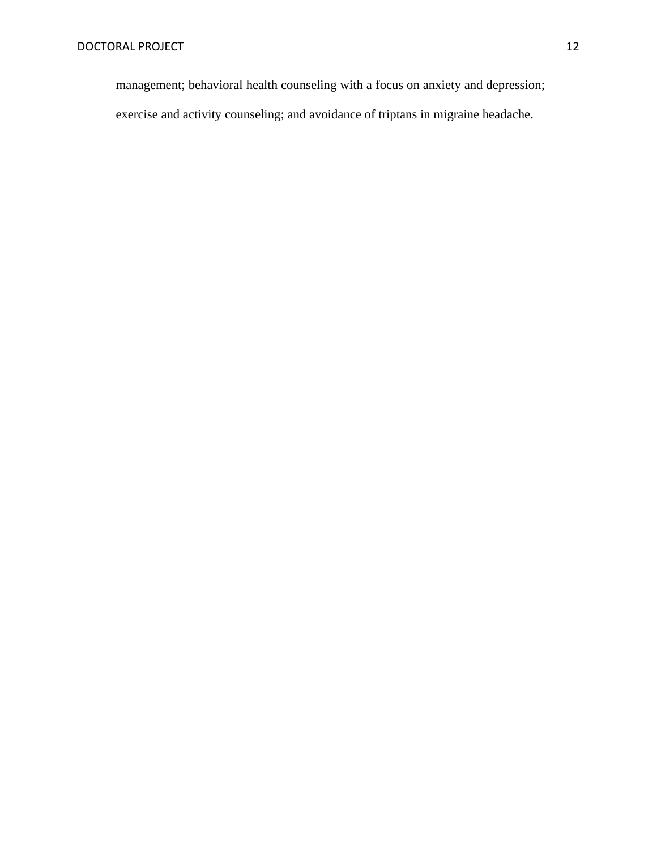management; behavioral health counseling with a focus on anxiety and depression;

exercise and activity counseling; and avoidance of triptans in migraine headache.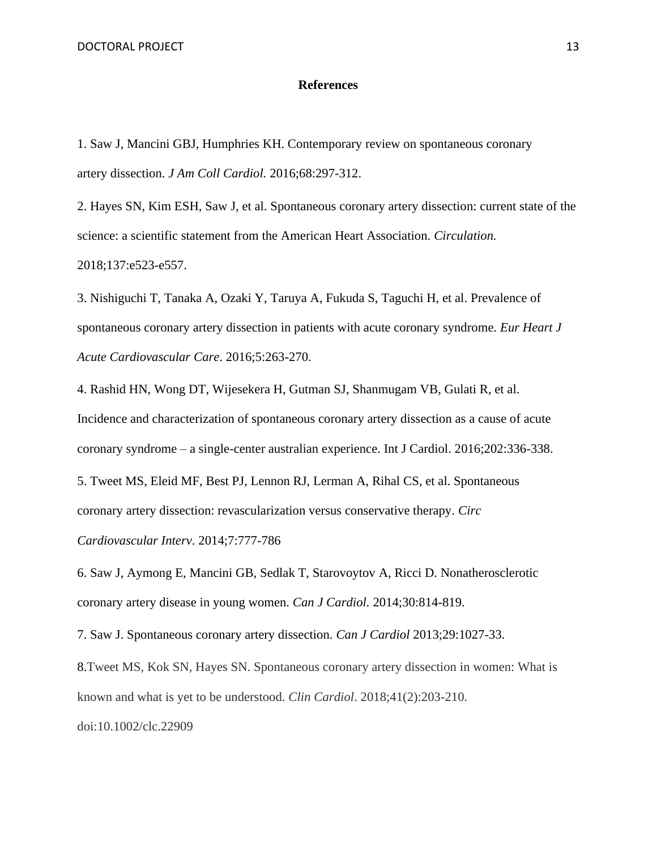#### **References**

1. Saw J, Mancini GBJ, Humphries KH. Contemporary review on spontaneous coronary artery dissection. *J Am Coll Cardiol.* 2016;68:297-312.

2. Hayes SN, Kim ESH, Saw J, et al. Spontaneous coronary artery dissection: current state of the science: a scientific statement from the American Heart Association. *Circulation.*  2018;137:e523-e557.

3. Nishiguchi T, Tanaka A, Ozaki Y, Taruya A, Fukuda S, Taguchi H, et al. Prevalence of spontaneous coronary artery dissection in patients with acute coronary syndrome. *Eur Heart J Acute Cardiovascular Care*. 2016;5:263-270.

4. Rashid HN, Wong DT, Wijesekera H, Gutman SJ, Shanmugam VB, Gulati R, et al. Incidence and characterization of spontaneous coronary artery dissection as a cause of acute coronary syndrome – a single-center australian experience. Int J Cardiol. 2016;202:336-338.

5. Tweet MS, Eleid MF, Best PJ, Lennon RJ, Lerman A, Rihal CS, et al. Spontaneous coronary artery dissection: revascularization versus conservative therapy. *Circ* 

*Cardiovascular Interv*. 2014;7:777-786

6. Saw J, Aymong E, Mancini GB, Sedlak T, Starovoytov A, Ricci D. Nonatherosclerotic coronary artery disease in young women. *Can J Cardiol.* 2014;30:814-819.

7. Saw J. Spontaneous coronary artery dissection. *Can J Cardiol* 2013;29:1027-33.

8.Tweet MS, Kok SN, Hayes SN. Spontaneous coronary artery dissection in women: What is known and what is yet to be understood. *Clin Cardiol*. 2018;41(2):203-210.

doi:10.1002/clc.22909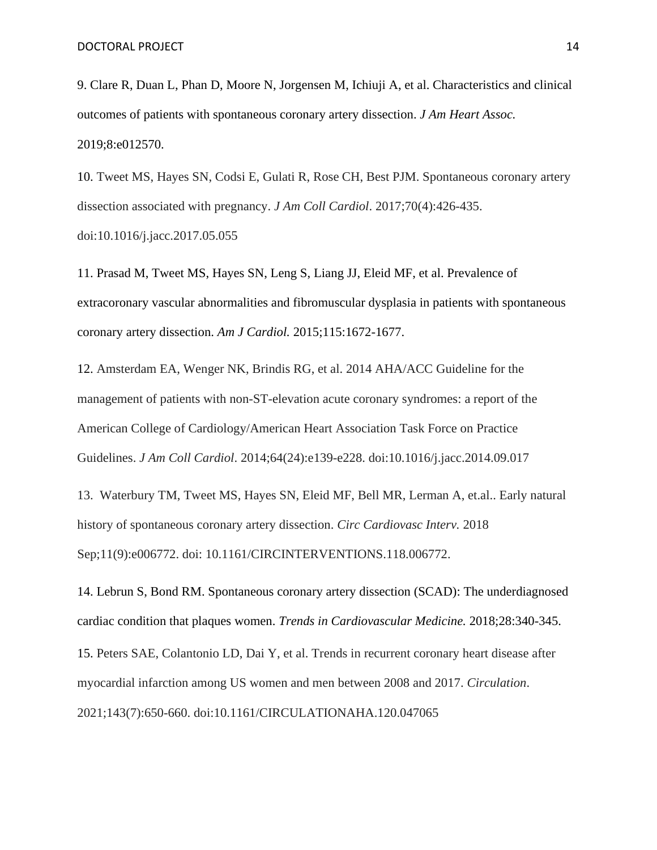9. Clare R, Duan L, Phan D, Moore N, Jorgensen M, Ichiuji A, et al. Characteristics and clinical outcomes of patients with spontaneous coronary artery dissection. *J Am Heart Assoc.*  2019;8:e012570.

10. Tweet MS, Hayes SN, Codsi E, Gulati R, Rose CH, Best PJM. Spontaneous coronary artery dissection associated with pregnancy. *J Am Coll Cardiol*. 2017;70(4):426-435. doi:10.1016/j.jacc.2017.05.055

11. Prasad M, Tweet MS, Hayes SN, Leng S, Liang JJ, Eleid MF, et al. Prevalence of extracoronary vascular abnormalities and fibromuscular dysplasia in patients with spontaneous coronary artery dissection. *Am J Cardiol.* 2015;115:1672-1677.

12. Amsterdam EA, Wenger NK, Brindis RG, et al. 2014 AHA/ACC Guideline for the management of patients with non-ST-elevation acute coronary syndromes: a report of the American College of Cardiology/American Heart Association Task Force on Practice Guidelines. *J Am Coll Cardiol*. 2014;64(24):e139-e228. doi:10.1016/j.jacc.2014.09.017

13. Waterbury TM, Tweet MS, Hayes SN, Eleid MF, Bell MR, Lerman A, et.al.. Early natural history of spontaneous coronary artery dissection. *Circ Cardiovasc Interv.* 2018 Sep;11(9):e006772. doi: 10.1161/CIRCINTERVENTIONS.118.006772.

14. Lebrun S, Bond RM. Spontaneous coronary artery dissection (SCAD): The underdiagnosed cardiac condition that plaques women. *Trends in Cardiovascular Medicine.* 2018;28:340-345.

15. Peters SAE, Colantonio LD, Dai Y, et al. Trends in recurrent coronary heart disease after myocardial infarction among US women and men between 2008 and 2017. *Circulation*. 2021;143(7):650-660. doi:10.1161/CIRCULATIONAHA.120.047065